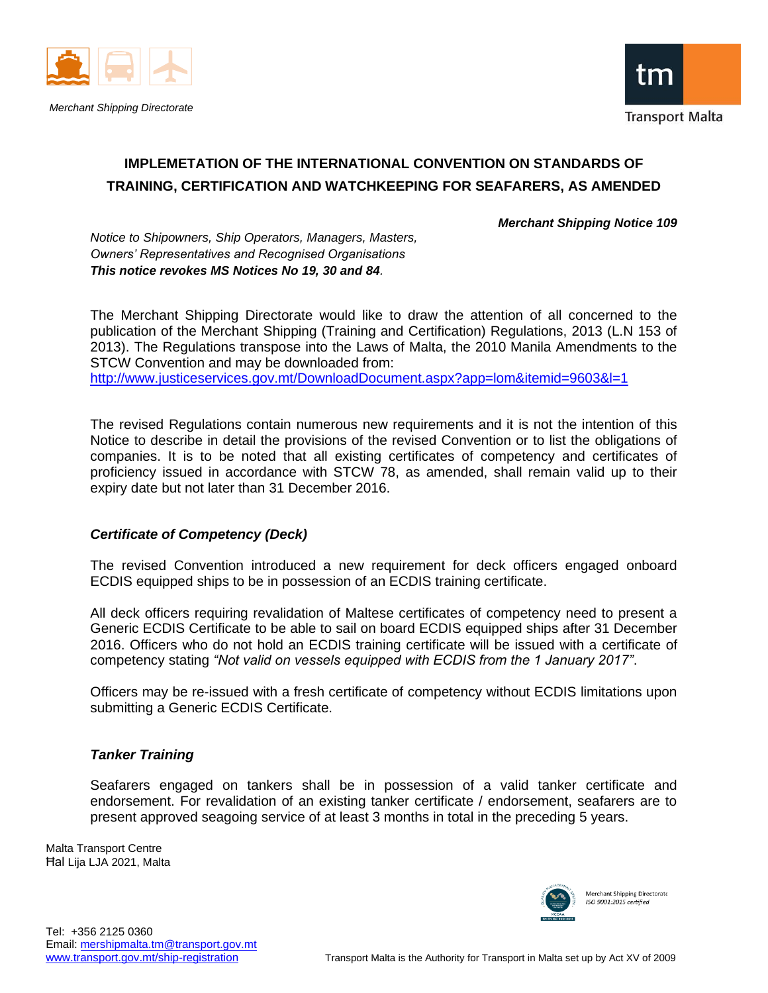



# **IMPLEMETATION OF THE INTERNATIONAL CONVENTION ON STANDARDS OF TRAINING, CERTIFICATION AND WATCHKEEPING FOR SEAFARERS, AS AMENDED**

*Merchant Shipping Notice 109*

*Notice to Shipowners, Ship Operators, Managers, Masters, Owners' Representatives and Recognised Organisations This notice revokes MS Notices No 19, 30 and 84.*

The Merchant Shipping Directorate would like to draw the attention of all concerned to the publication of the Merchant Shipping (Training and Certification) Regulations, 2013 (L.N 153 of 2013). The Regulations transpose into the Laws of Malta, the 2010 Manila Amendments to the STCW Convention and may be downloaded from: <http://www.justiceservices.gov.mt/DownloadDocument.aspx?app=lom&itemid=9603&l=1>

The revised Regulations contain numerous new requirements and it is not the intention of this Notice to describe in detail the provisions of the revised Convention or to list the obligations of companies. It is to be noted that all existing certificates of competency and certificates of proficiency issued in accordance with STCW 78, as amended, shall remain valid up to their expiry date but not later than 31 December 2016.

# *Certificate of Competency (Deck)*

The revised Convention introduced a new requirement for deck officers engaged onboard ECDIS equipped ships to be in possession of an ECDIS training certificate.

All deck officers requiring revalidation of Maltese certificates of competency need to present a Generic ECDIS Certificate to be able to sail on board ECDIS equipped ships after 31 December 2016. Officers who do not hold an ECDIS training certificate will be issued with a certificate of competency stating *"Not valid on vessels equipped with ECDIS from the 1 January 2017"*.

Officers may be re-issued with a fresh certificate of competency without ECDIS limitations upon submitting a Generic ECDIS Certificate.

# *Tanker Training*

Seafarers engaged on tankers shall be in possession of a valid tanker certificate and endorsement. For revalidation of an existing tanker certificate / endorsement, seafarers are to present approved seagoing service of at least 3 months in total in the preceding 5 years.

Malta Transport Centre Ħal Lija LJA 2021, Malta

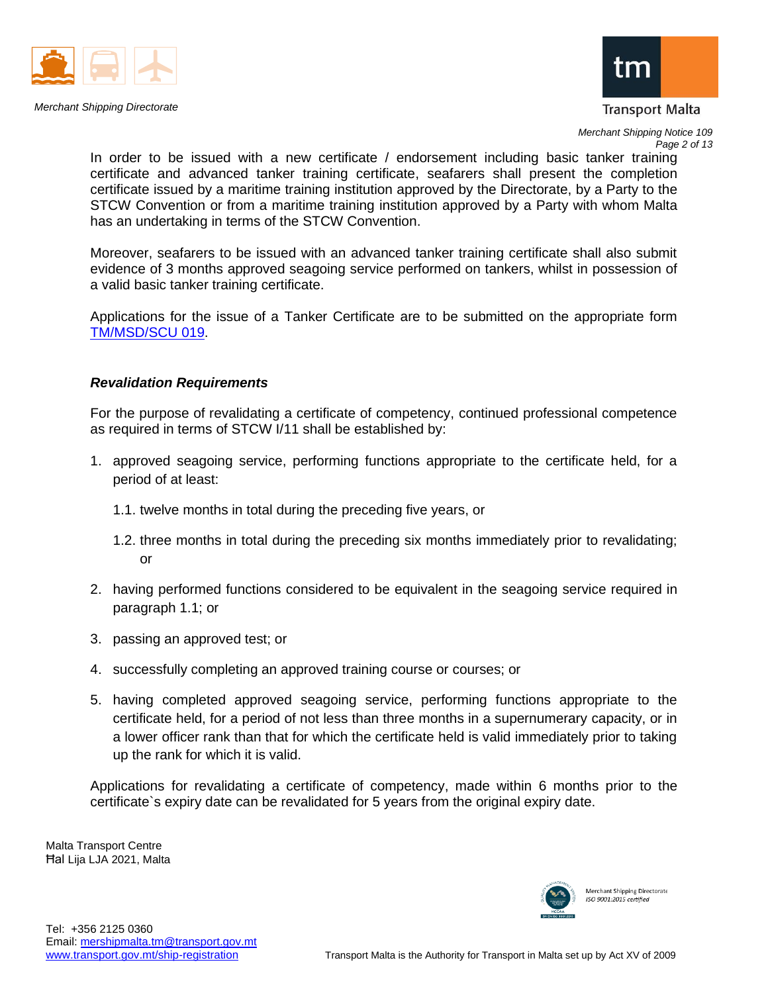



*Merchant Shipping Notice 109 Page 2 of 13*

In order to be issued with a new certificate / endorsement including basic tanker training certificate and advanced tanker training certificate, seafarers shall present the completion certificate issued by a maritime training institution approved by the Directorate, by a Party to the STCW Convention or from a maritime training institution approved by a Party with whom Malta has an undertaking in terms of the STCW Convention.

Moreover, seafarers to be issued with an advanced tanker training certificate shall also submit evidence of 3 months approved seagoing service performed on tankers, whilst in possession of a valid basic tanker training certificate.

Applications for the issue of a Tanker Certificate are to be submitted on the appropriate form [TM/MSD/SCU 019.](https://www.transport.gov.mt/Copy-of-Form-TM-MSD-SCU-019-Application-for-a-Tanker-certificate.doc-f3835)

## *Revalidation Requirements*

For the purpose of revalidating a certificate of competency, continued professional competence as required in terms of STCW I/11 shall be established by:

- 1. approved seagoing service, performing functions appropriate to the certificate held, for a period of at least:
	- 1.1. twelve months in total during the preceding five years, or
	- 1.2. three months in total during the preceding six months immediately prior to revalidating; or
- 2. having performed functions considered to be equivalent in the seagoing service required in paragraph 1.1; or
- 3. passing an approved test; or
- 4. successfully completing an approved training course or courses; or
- 5. having completed approved seagoing service, performing functions appropriate to the certificate held, for a period of not less than three months in a supernumerary capacity, or in a lower officer rank than that for which the certificate held is valid immediately prior to taking up the rank for which it is valid.

Applications for revalidating a certificate of competency, made within 6 months prior to the certificate`s expiry date can be revalidated for 5 years from the original expiry date.

Malta Transport Centre Ħal Lija LJA 2021, Malta

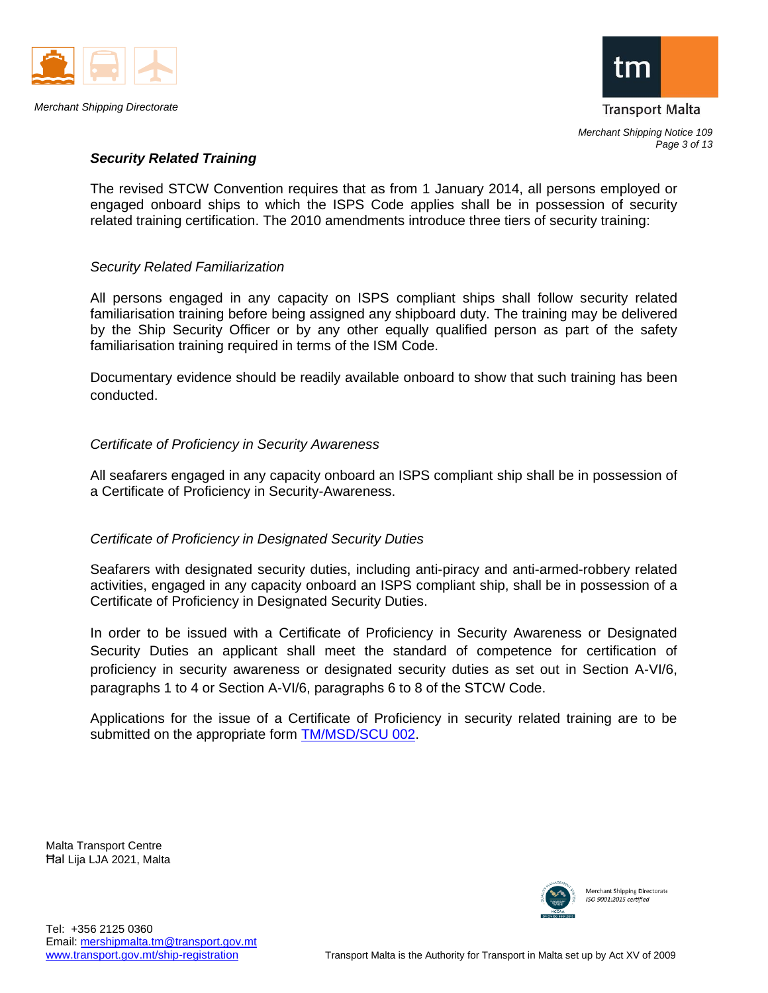



## *Security Related Training*

The revised STCW Convention requires that as from 1 January 2014, all persons employed or engaged onboard ships to which the ISPS Code applies shall be in possession of security related training certification. The 2010 amendments introduce three tiers of security training:

#### *Security Related Familiarization*

All persons engaged in any capacity on ISPS compliant ships shall follow security related familiarisation training before being assigned any shipboard duty. The training may be delivered by the Ship Security Officer or by any other equally qualified person as part of the safety familiarisation training required in terms of the ISM Code.

Documentary evidence should be readily available onboard to show that such training has been conducted.

## *Certificate of Proficiency in Security Awareness*

All seafarers engaged in any capacity onboard an ISPS compliant ship shall be in possession of a Certificate of Proficiency in Security-Awareness.

#### *Certificate of Proficiency in Designated Security Duties*

Seafarers with designated security duties, including anti-piracy and anti-armed-robbery related activities, engaged in any capacity onboard an ISPS compliant ship, shall be in possession of a Certificate of Proficiency in Designated Security Duties.

In order to be issued with a Certificate of Proficiency in Security Awareness or Designated Security Duties an applicant shall meet the standard of competence for certification of proficiency in security awareness or designated security duties as set out in Section A-VI/6, paragraphs 1 to 4 or Section A-VI/6, paragraphs 6 to 8 of the STCW Code.

Applications for the issue of a Certificate of Proficiency in security related training are to be submitted on the appropriate form [TM/MSD/SCU 002.](https://www.transport.gov.mt/Copy-of-Form-TM-MSD-SCU-002-Application-for-a-certificate-of-proficiency-for-Ship-Security-Officers-Security-Awarness.doc-f3827)

Malta Transport Centre Ħal Lija LJA 2021, Malta

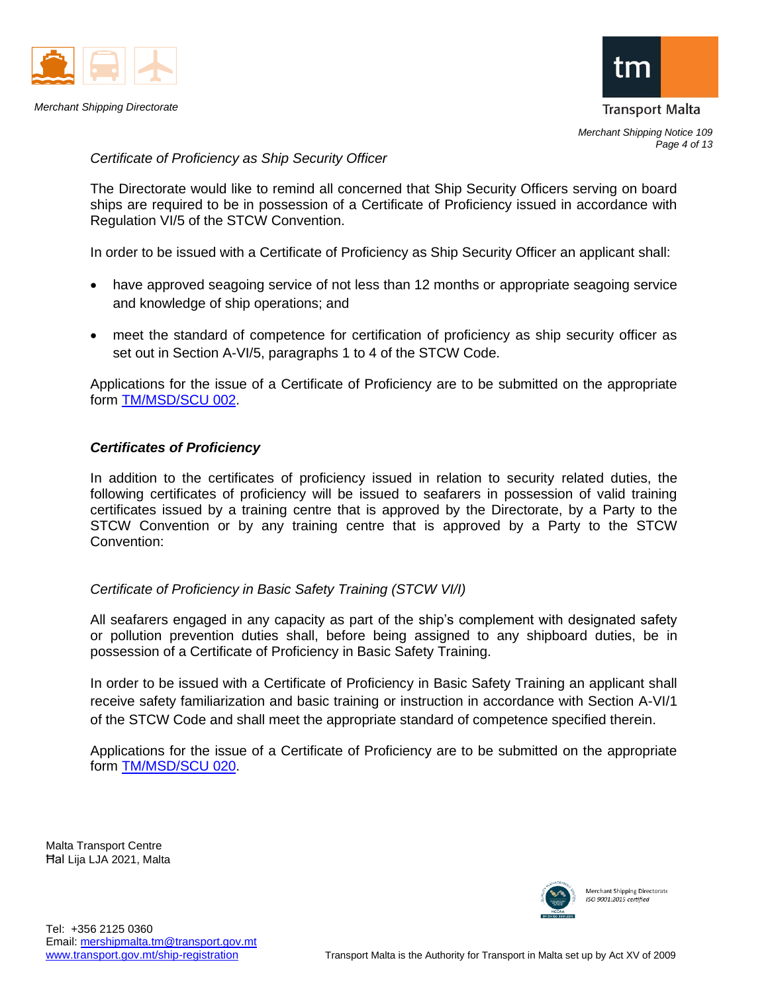



*Merchant Shipping Notice 109 Page 4 of 13*

*Certificate of Proficiency as Ship Security Officer*

The Directorate would like to remind all concerned that Ship Security Officers serving on board ships are required to be in possession of a Certificate of Proficiency issued in accordance with Regulation VI/5 of the STCW Convention.

In order to be issued with a Certificate of Proficiency as Ship Security Officer an applicant shall:

- have approved seagoing service of not less than 12 months or appropriate seagoing service and knowledge of ship operations; and
- meet the standard of competence for certification of proficiency as ship security officer as set out in Section A-VI/5, paragraphs 1 to 4 of the STCW Code.

Applications for the issue of a Certificate of Proficiency are to be submitted on the appropriate form [TM/MSD/SCU 002.](https://www.transport.gov.mt/Copy-of-Form-TM-MSD-SCU-002-Application-for-a-certificate-of-proficiency-for-Ship-Security-Officers-Security-Awarness.doc-f3827)

## *Certificates of Proficiency*

In addition to the certificates of proficiency issued in relation to security related duties, the following certificates of proficiency will be issued to seafarers in possession of valid training certificates issued by a training centre that is approved by the Directorate, by a Party to the STCW Convention or by any training centre that is approved by a Party to the STCW Convention:

#### *Certificate of Proficiency in Basic Safety Training (STCW VI/I)*

All seafarers engaged in any capacity as part of the ship's complement with designated safety or pollution prevention duties shall, before being assigned to any shipboard duties, be in possession of a Certificate of Proficiency in Basic Safety Training.

In order to be issued with a Certificate of Proficiency in Basic Safety Training an applicant shall receive safety familiarization and basic training or instruction in accordance with Section A-VI/1 of the STCW Code and shall meet the appropriate standard of competence specified therein.

Applications for the issue of a Certificate of Proficiency are to be submitted on the appropriate form [TM/MSD/SCU 020.](https://www.transport.gov.mt/Copy-of-Form-TM-MSD-SCU-020-Application-for-a-certificate-of-proficiency-in-Basic-Safety-Training.doc-f3836)

Malta Transport Centre Ħal Lija LJA 2021, Malta

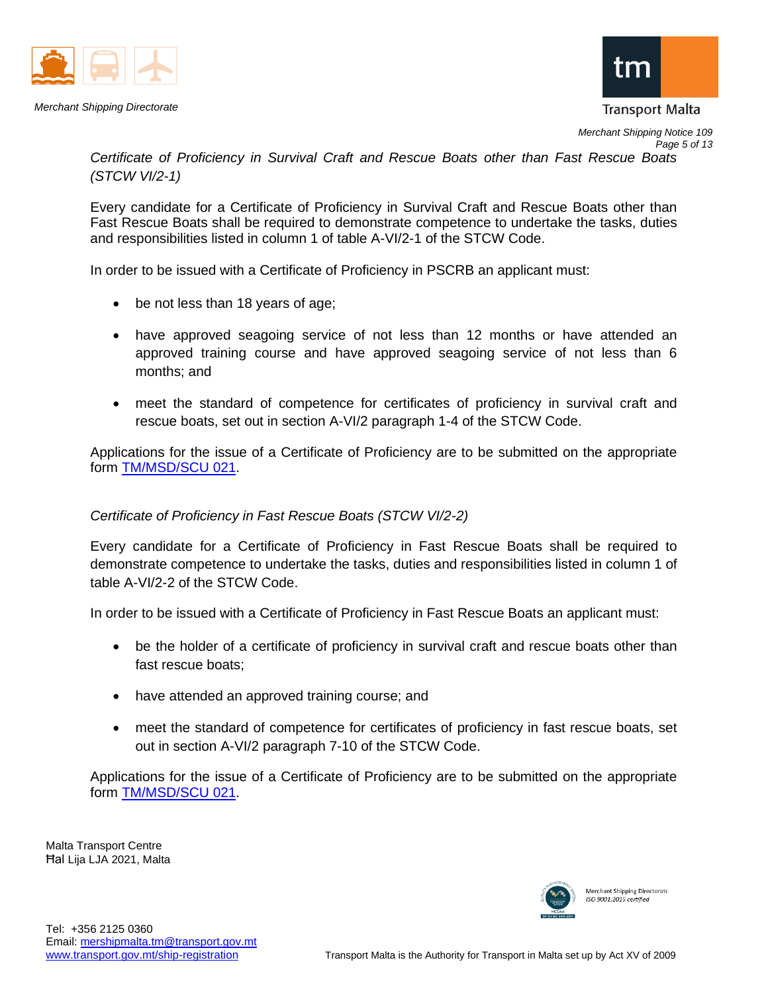



**Transport Malta** 

*Merchant Shipping Notice 109 Page 5 of 13*

*Certificate of Proficiency in Survival Craft and Rescue Boats other than Fast Rescue Boats (STCW VI/2-1)*

Every candidate for a Certificate of Proficiency in Survival Craft and Rescue Boats other than Fast Rescue Boats shall be required to demonstrate competence to undertake the tasks, duties and responsibilities listed in column 1 of table A-VI/2-1 of the STCW Code.

In order to be issued with a Certificate of Proficiency in PSCRB an applicant must:

- be not less than 18 years of age;
- have approved seagoing service of not less than 12 months or have attended an approved training course and have approved seagoing service of not less than 6 months; and
- meet the standard of competence for certificates of proficiency in survival craft and rescue boats, set out in section A-VI/2 paragraph 1-4 of the STCW Code.

Applications for the issue of a Certificate of Proficiency are to be submitted on the appropriate form [TM/MSD/SCU 021.](https://www.transport.gov.mt/Copy-of-Form-TM-MSD-SCU-021-Application-for-a-certificate-of-proficiency-in-PSCRB-and-Fast-Rescue-Boats.doc-f3837)

# *Certificate of Proficiency in Fast Rescue Boats (STCW VI/2-2)*

Every candidate for a Certificate of Proficiency in Fast Rescue Boats shall be required to demonstrate competence to undertake the tasks, duties and responsibilities listed in column 1 of table A-VI/2-2 of the STCW Code.

In order to be issued with a Certificate of Proficiency in Fast Rescue Boats an applicant must:

- be the holder of a certificate of proficiency in survival craft and rescue boats other than fast rescue boats;
- have attended an approved training course; and
- meet the standard of competence for certificates of proficiency in fast rescue boats, set out in section A-VI/2 paragraph 7-10 of the STCW Code.

Applications for the issue of a Certificate of Proficiency are to be submitted on the appropriate form [TM/MSD/SCU 021.](https://www.transport.gov.mt/Copy-of-Form-TM-MSD-SCU-021-Application-for-a-certificate-of-proficiency-in-PSCRB-and-Fast-Rescue-Boats.doc-f3837)

Malta Transport Centre Ħal Lija LJA 2021, Malta

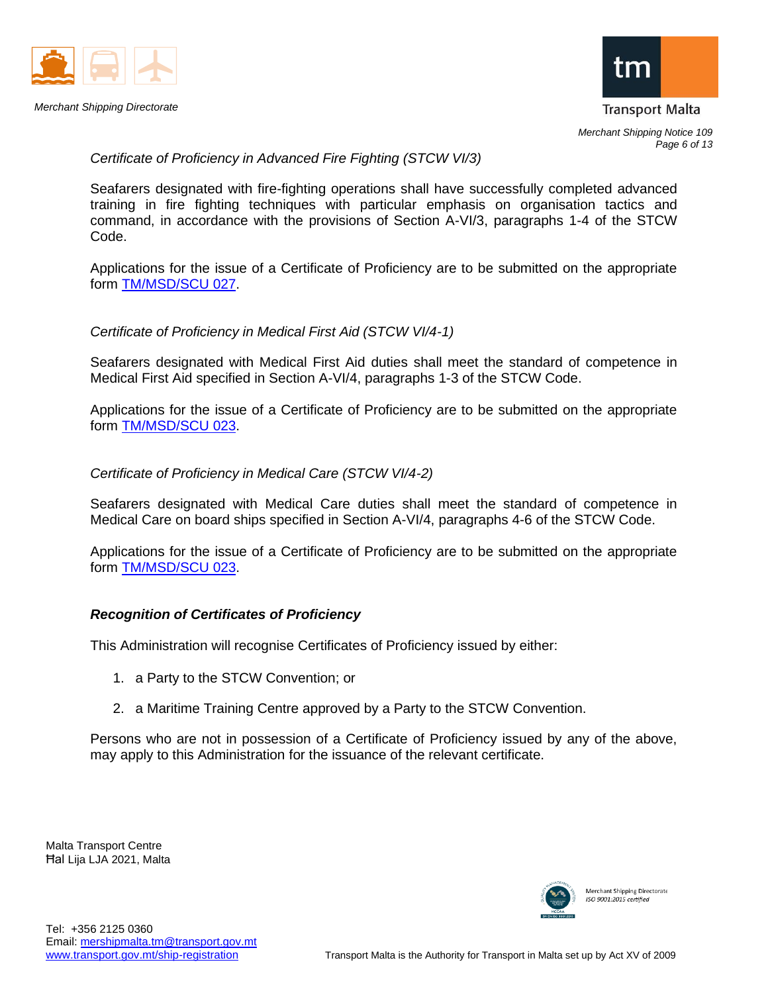



*Page 6 of 13*

# *Certificate of Proficiency in Advanced Fire Fighting (STCW VI/3)*

Seafarers designated with fire-fighting operations shall have successfully completed advanced training in fire fighting techniques with particular emphasis on organisation tactics and command, in accordance with the provisions of Section A-VI/3, paragraphs 1-4 of the STCW Code.

Applications for the issue of a Certificate of Proficiency are to be submitted on the appropriate form [TM/MSD/SCU 027.](https://www.transport.gov.mt/Copy-of-Form-TM-MSD-SCU-027-Application-for-a-certificate-of-proficiency-in-Advanced-Fire-Fighting.doc-f3841)

#### *Certificate of Proficiency in Medical First Aid (STCW VI/4-1)*

Seafarers designated with Medical First Aid duties shall meet the standard of competence in Medical First Aid specified in Section A-VI/4, paragraphs 1-3 of the STCW Code.

Applications for the issue of a Certificate of Proficiency are to be submitted on the appropriate form [TM/MSD/SCU 023.](https://www.transport.gov.mt/Copy-of-Form-TM-MSD-SCU-023-Application-for-a-certificate-of-proficiency-in-Medical-First-Aid-and-Medical-Care.doc-f3838)

#### *Certificate of Proficiency in Medical Care (STCW VI/4-2)*

Seafarers designated with Medical Care duties shall meet the standard of competence in Medical Care on board ships specified in Section A-VI/4, paragraphs 4-6 of the STCW Code.

Applications for the issue of a Certificate of Proficiency are to be submitted on the appropriate form [TM/MSD/SCU 023.](https://www.transport.gov.mt/Copy-of-Form-TM-MSD-SCU-023-Application-for-a-certificate-of-proficiency-in-Medical-First-Aid-and-Medical-Care.doc-f3838)

#### *Recognition of Certificates of Proficiency*

This Administration will recognise Certificates of Proficiency issued by either:

- 1. a Party to the STCW Convention; or
- 2. a Maritime Training Centre approved by a Party to the STCW Convention.

Persons who are not in possession of a Certificate of Proficiency issued by any of the above, may apply to this Administration for the issuance of the relevant certificate.

Malta Transport Centre Ħal Lija LJA 2021, Malta

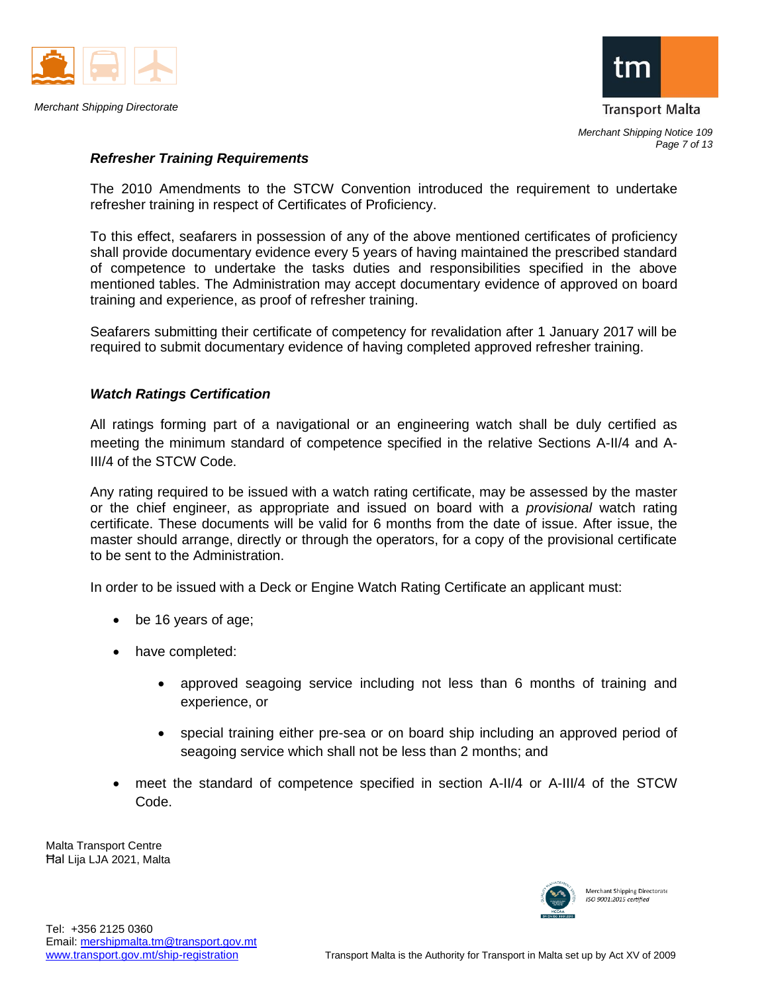



## *Refresher Training Requirements*

The 2010 Amendments to the STCW Convention introduced the requirement to undertake refresher training in respect of Certificates of Proficiency.

To this effect, seafarers in possession of any of the above mentioned certificates of proficiency shall provide documentary evidence every 5 years of having maintained the prescribed standard of competence to undertake the tasks duties and responsibilities specified in the above mentioned tables. The Administration may accept documentary evidence of approved on board training and experience, as proof of refresher training.

Seafarers submitting their certificate of competency for revalidation after 1 January 2017 will be required to submit documentary evidence of having completed approved refresher training.

## *Watch Ratings Certification*

All ratings forming part of a navigational or an engineering watch shall be duly certified as meeting the minimum standard of competence specified in the relative Sections A-II/4 and A-III/4 of the STCW Code.

Any rating required to be issued with a watch rating certificate, may be assessed by the master or the chief engineer, as appropriate and issued on board with a *provisional* watch rating certificate. These documents will be valid for 6 months from the date of issue. After issue, the master should arrange, directly or through the operators, for a copy of the provisional certificate to be sent to the Administration.

In order to be issued with a Deck or Engine Watch Rating Certificate an applicant must:

- be 16 years of age;
- have completed:
	- approved seagoing service including not less than 6 months of training and experience, or
	- special training either pre-sea or on board ship including an approved period of seagoing service which shall not be less than 2 months; and
- meet the standard of competence specified in section A-II/4 or A-III/4 of the STCW Code.

Malta Transport Centre Ħal Lija LJA 2021, Malta

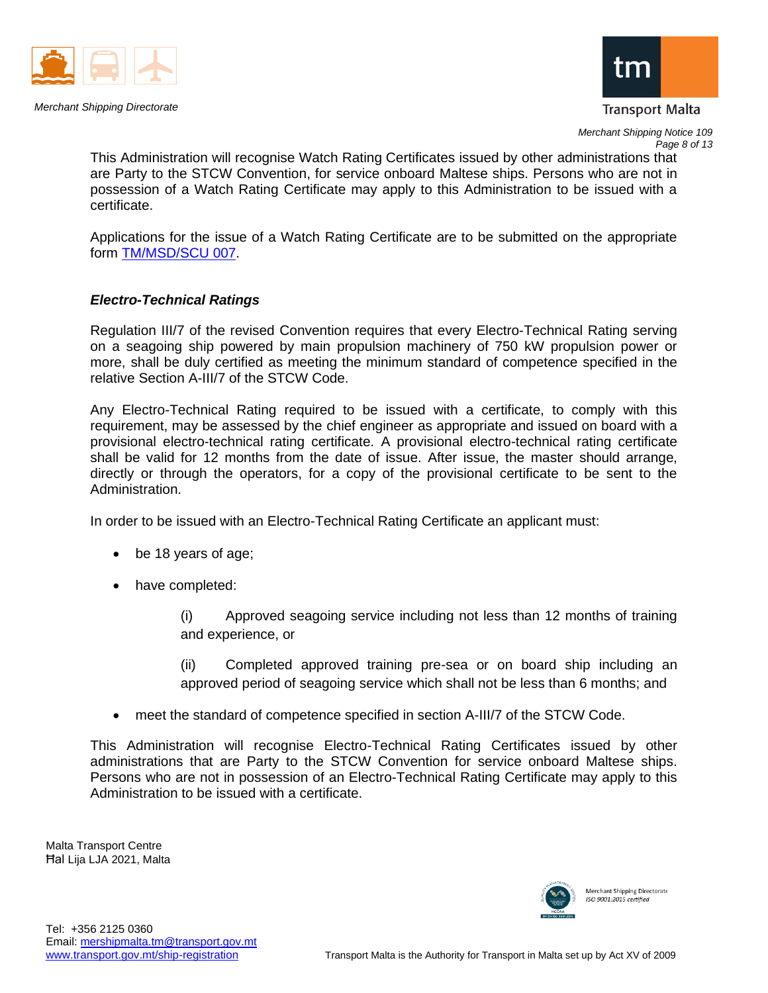



*Merchant Shipping Notice 109*

This Administration will recognise Watch Rating Certificates issued by other administrations that are Party to the STCW Convention, for service onboard Maltese ships. Persons who are not in possession of a Watch Rating Certificate may apply to this Administration to be issued with a certificate.

Applications for the issue of a Watch Rating Certificate are to be submitted on the appropriate form [TM/MSD/SCU 007.](https://www.transport.gov.mt/Copy-of-Form-TM-MSD-SCU-007-Application-for-a-Rating-Certificate.doc-f3831)

## *Electro-Technical Ratings*

Regulation III/7 of the revised Convention requires that every Electro-Technical Rating serving on a seagoing ship powered by main propulsion machinery of 750 kW propulsion power or more, shall be duly certified as meeting the minimum standard of competence specified in the relative Section A-III/7 of the STCW Code.

Any Electro-Technical Rating required to be issued with a certificate, to comply with this requirement, may be assessed by the chief engineer as appropriate and issued on board with a provisional electro-technical rating certificate. A provisional electro-technical rating certificate shall be valid for 12 months from the date of issue. After issue, the master should arrange, directly or through the operators, for a copy of the provisional certificate to be sent to the Administration.

In order to be issued with an Electro-Technical Rating Certificate an applicant must:

- be 18 years of age;
- have completed:

(i) Approved seagoing service including not less than 12 months of training and experience, or

(ii) Completed approved training pre-sea or on board ship including an approved period of seagoing service which shall not be less than 6 months; and

• meet the standard of competence specified in section A-III/7 of the STCW Code.

This Administration will recognise Electro-Technical Rating Certificates issued by other administrations that are Party to the STCW Convention for service onboard Maltese ships. Persons who are not in possession of an Electro-Technical Rating Certificate may apply to this Administration to be issued with a certificate.

Malta Transport Centre Ħal Lija LJA 2021, Malta

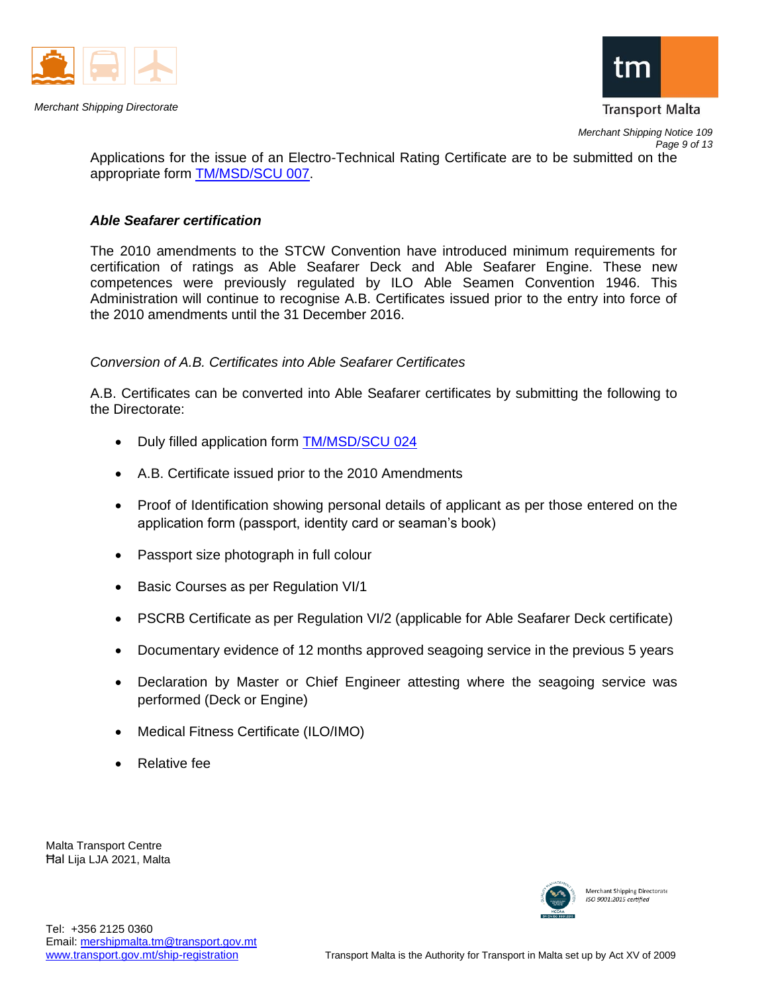



**Transport Malta** 

*Merchant Shipping Notice 109 Page 9 of 13*

Applications for the issue of an Electro-Technical Rating Certificate are to be submitted on the appropriate form [TM/MSD/SCU 007.](https://www.transport.gov.mt/Copy-of-Form-TM-MSD-SCU-007-Application-for-a-Rating-Certificate.doc-f3831)

## *Able Seafarer certification*

The 2010 amendments to the STCW Convention have introduced minimum requirements for certification of ratings as Able Seafarer Deck and Able Seafarer Engine. These new competences were previously regulated by ILO Able Seamen Convention 1946. This Administration will continue to recognise A.B. Certificates issued prior to the entry into force of the 2010 amendments until the 31 December 2016.

# *Conversion of A.B. Certificates into Able Seafarer Certificates*

A.B. Certificates can be converted into Able Seafarer certificates by submitting the following to the Directorate:

- Duly filled application form [TM/MSD/SCU 024](https://www.transport.gov.mt/Copy-of-Form-TM-MSD-SCU-024-Application-for-certification-of-ratings-as-Able-Seafarer.doc-f3839)
- A.B. Certificate issued prior to the 2010 Amendments
- Proof of Identification showing personal details of applicant as per those entered on the application form (passport, identity card or seaman's book)
- Passport size photograph in full colour
- Basic Courses as per Regulation VI/1
- PSCRB Certificate as per Regulation VI/2 (applicable for Able Seafarer Deck certificate)
- Documentary evidence of 12 months approved seagoing service in the previous 5 years
- Declaration by Master or Chief Engineer attesting where the seagoing service was performed (Deck or Engine)
- Medical Fitness Certificate (ILO/IMO)
- Relative fee

Malta Transport Centre Ħal Lija LJA 2021, Malta

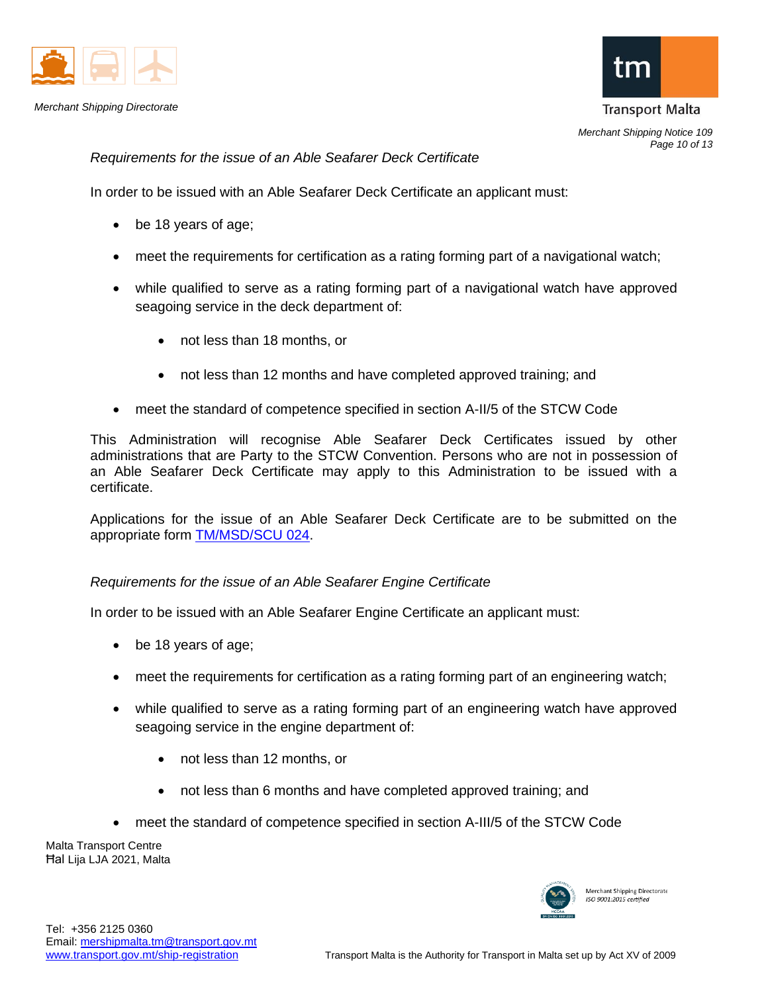

*Merchant Shipping Directorate*



*Merchant Shipping Notice 109 Page 10 of 13*

*Requirements for the issue of an Able Seafarer Deck Certificate* 

In order to be issued with an Able Seafarer Deck Certificate an applicant must:

- be 18 years of age;
- meet the requirements for certification as a rating forming part of a navigational watch;
- while qualified to serve as a rating forming part of a navigational watch have approved seagoing service in the deck department of:
	- not less than 18 months, or
	- not less than 12 months and have completed approved training; and
- meet the standard of competence specified in section A-II/5 of the STCW Code

This Administration will recognise Able Seafarer Deck Certificates issued by other administrations that are Party to the STCW Convention. Persons who are not in possession of an Able Seafarer Deck Certificate may apply to this Administration to be issued with a certificate.

Applications for the issue of an Able Seafarer Deck Certificate are to be submitted on the appropriate form [TM/MSD/SCU 024.](https://www.transport.gov.mt/Copy-of-Form-TM-MSD-SCU-024-Application-for-certification-of-ratings-as-Able-Seafarer.doc-f3839)

#### *Requirements for the issue of an Able Seafarer Engine Certificate*

In order to be issued with an Able Seafarer Engine Certificate an applicant must:

- be 18 years of age;
- meet the requirements for certification as a rating forming part of an engineering watch;
- while qualified to serve as a rating forming part of an engineering watch have approved seagoing service in the engine department of:
	- not less than 12 months, or
	- not less than 6 months and have completed approved training; and
- meet the standard of competence specified in section A-III/5 of the STCW Code

Malta Transport Centre Ħal Lija LJA 2021, Malta

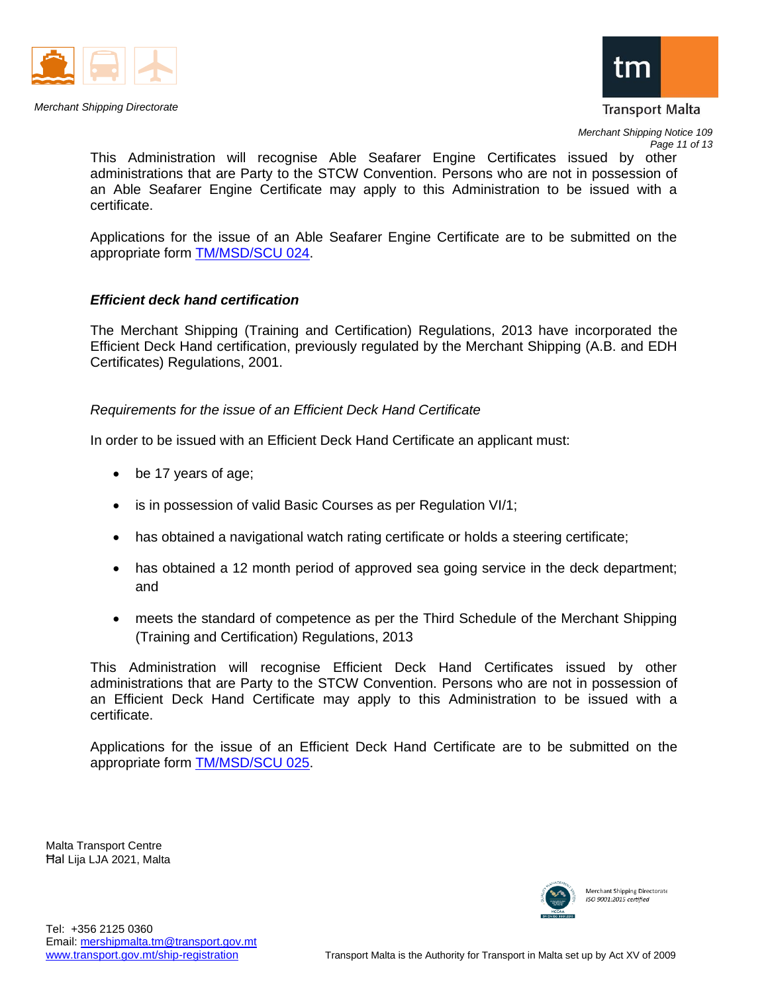



*Merchant Shipping Notice 109 Page 11 of 13*

This Administration will recognise Able Seafarer Engine Certificates issued by other administrations that are Party to the STCW Convention. Persons who are not in possession of an Able Seafarer Engine Certificate may apply to this Administration to be issued with a certificate.

Applications for the issue of an Able Seafarer Engine Certificate are to be submitted on the appropriate form [TM/MSD/SCU 024.](https://www.transport.gov.mt/Copy-of-Form-TM-MSD-SCU-024-Application-for-certification-of-ratings-as-Able-Seafarer.doc-f3839)

## *Efficient deck hand certification*

The Merchant Shipping (Training and Certification) Regulations, 2013 have incorporated the Efficient Deck Hand certification, previously regulated by the Merchant Shipping (A.B. and EDH Certificates) Regulations, 2001.

## *Requirements for the issue of an Efficient Deck Hand Certificate*

In order to be issued with an Efficient Deck Hand Certificate an applicant must:

- be 17 years of age;
- is in possession of valid Basic Courses as per Regulation VI/1;
- has obtained a navigational watch rating certificate or holds a steering certificate;
- has obtained a 12 month period of approved sea going service in the deck department; and
- meets the standard of competence as per the Third Schedule of the Merchant Shipping (Training and Certification) Regulations, 2013

This Administration will recognise Efficient Deck Hand Certificates issued by other administrations that are Party to the STCW Convention. Persons who are not in possession of an Efficient Deck Hand Certificate may apply to this Administration to be issued with a certificate.

Applications for the issue of an Efficient Deck Hand Certificate are to be submitted on the appropriate form [TM/MSD/SCU 025.](https://www.transport.gov.mt/Form-TM-MSD-SCU-025-Application-for-an-Efficient-Deck-Hand-Certificate.doc-f6280)

Malta Transport Centre Ħal Lija LJA 2021, Malta

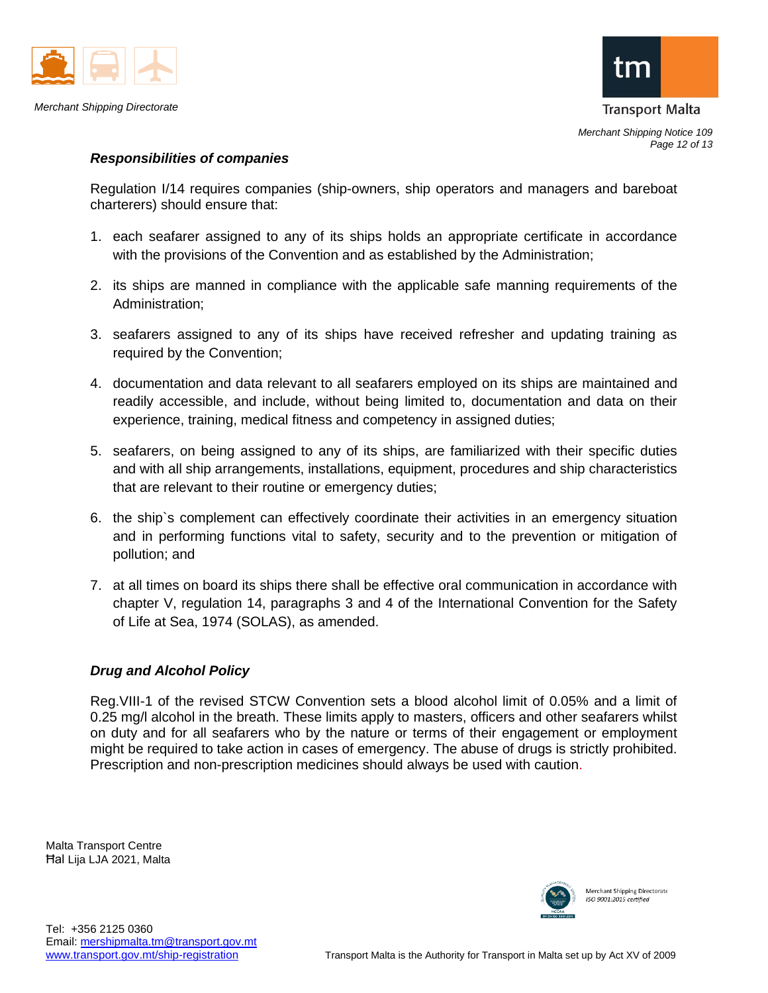



*Merchant Shipping Notice 109 Page 12 of 13*

## *Responsibilities of companies*

Regulation I/14 requires companies (ship-owners, ship operators and managers and bareboat charterers) should ensure that:

- 1. each seafarer assigned to any of its ships holds an appropriate certificate in accordance with the provisions of the Convention and as established by the Administration;
- 2. its ships are manned in compliance with the applicable safe manning requirements of the Administration;
- 3. seafarers assigned to any of its ships have received refresher and updating training as required by the Convention;
- 4. documentation and data relevant to all seafarers employed on its ships are maintained and readily accessible, and include, without being limited to, documentation and data on their experience, training, medical fitness and competency in assigned duties;
- 5. seafarers, on being assigned to any of its ships, are familiarized with their specific duties and with all ship arrangements, installations, equipment, procedures and ship characteristics that are relevant to their routine or emergency duties;
- 6. the ship`s complement can effectively coordinate their activities in an emergency situation and in performing functions vital to safety, security and to the prevention or mitigation of pollution; and
- 7. at all times on board its ships there shall be effective oral communication in accordance with chapter V, regulation 14, paragraphs 3 and 4 of the International Convention for the Safety of Life at Sea, 1974 (SOLAS), as amended.

# *Drug and Alcohol Policy*

Reg.VIII-1 of the revised STCW Convention sets a blood alcohol limit of 0.05% and a limit of 0.25 mg/l alcohol in the breath. These limits apply to masters, officers and other seafarers whilst on duty and for all seafarers who by the nature or terms of their engagement or employment might be required to take action in cases of emergency. The abuse of drugs is strictly prohibited. Prescription and non-prescription medicines should always be used with caution.

Malta Transport Centre Ħal Lija LJA 2021, Malta